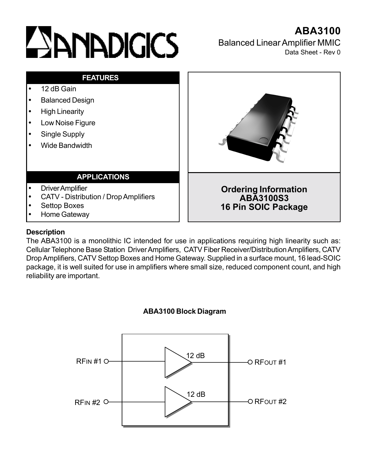# **ESANADIGICS**



# **Description**

The ABA3100 is a monolithic IC intended for use in applications requiring high linearity such as: Cellular Telephone Base Station Driver Amplifiers, CATV Fiber Receiver/Distribution Amplifiers, CATV Drop Amplifiers, CATV Settop Boxes and Home Gateway. Supplied in a surface mount, 16 lead-SOIC package, it is well suited for use in amplifiers where small size, reduced component count, and high reliability are important.



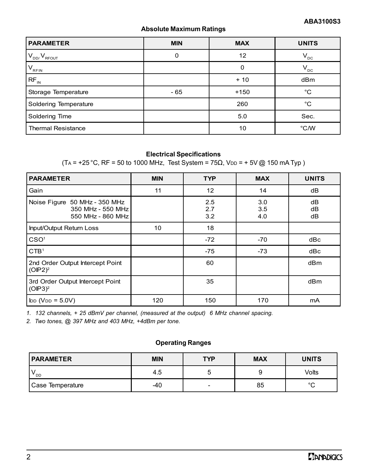# **Absolute Maximum Ratings**

| <b>PARAMETER</b>          | <b>MIN</b> | <b>MAX</b> | <b>UNITS</b>    |
|---------------------------|------------|------------|-----------------|
| $V_{DD}/V_{RFOUT}$        | 0          | 12         | $V_{DC}$        |
| $V_{RFIN}$                |            |            | $V_{\text{DC}}$ |
| $RF_{IN}$                 |            | $+10$      | dBm             |
| Storage Temperature       | $-65$      | $+150$     | $^{\circ}C$     |
| Soldering Temperature     |            | 260        | °C              |
| Soldering Time            |            | 5.0        | Sec.            |
| <b>Thermal Resistance</b> |            | 10         | $\degree$ C/W   |

#### **Electrical Specifications**

 $(T_A = +25 °C, RF = 50$  to 1000 MHz, Test System = 75 $\Omega$ , V<sub>DD</sub> = + 5V @ 150 mA Typ)

| <b>PARAMETER</b>                                                        | <b>MIN</b> | <b>TYP</b>        | <b>MAX</b>        | <b>UNITS</b>    |
|-------------------------------------------------------------------------|------------|-------------------|-------------------|-----------------|
| Gain                                                                    | 11         | 12                | 14                | dB              |
| Noise Figure 50 MHz - 350 MHz<br>350 MHz - 550 MHz<br>550 MHz - 860 MHz |            | 2.5<br>2.7<br>3.2 | 3.0<br>3.5<br>4.0 | dB<br>dВ<br>dB  |
| Input/Output Return Loss                                                | 10         | 18                |                   |                 |
| CSO <sup>1</sup>                                                        |            | $-72$             | $-70$             | dBc             |
| CTB <sup>1</sup>                                                        |            | $-75$             | $-73$             | dBc             |
| 2nd Order Output Intercept Point<br>$(OIP2)^2$                          |            | 60                |                   | dBm             |
| 3rd Order Output Intercept Point<br>(OIP3) <sup>2</sup>                 |            | 35                |                   | dB <sub>m</sub> |
| $\mathsf{L}(\mathsf{V}_{\mathsf{DD}} = 5.0 \mathsf{V})$                 | 120        | 150               | 170               | mA              |

*1. 132 channels, + 25 dBmV per channel, (measured at the output) 6 MHz channel spacing.*

*2. Two tones, @ 397 MHz and 403 MHz, +4dBm per tone.*

#### **Operating Ranges**

| <b>PARAMETER</b> | <b>MIN</b> | <b>TYP</b>               | <b>MAX</b> | <b>UNITS</b> |
|------------------|------------|--------------------------|------------|--------------|
| OD '             | 4.5        |                          |            | Volts        |
| Case Temperature | -40        | $\overline{\phantom{0}}$ | 85         | $\sim$       |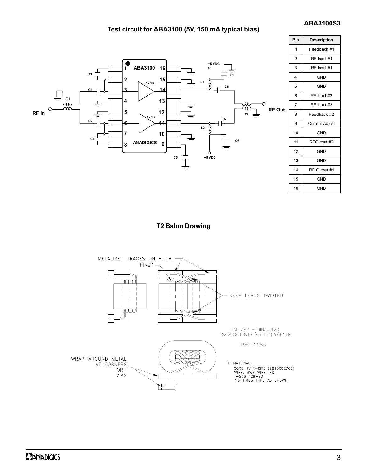#### **ABA3100S3**

#### **Test circuit for ABA3100 (5V, 150 mA typical bias)**



**T2 Balun Drawing**

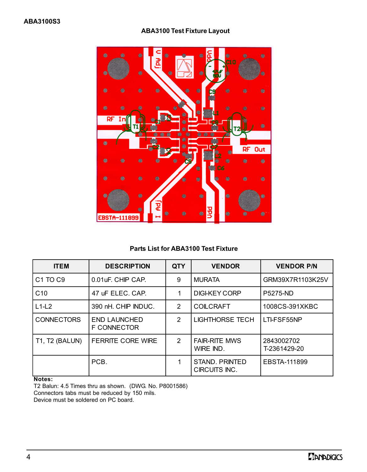## **ABA3100 Test Fixture Layout**



#### **Parts List for ABA3100 Test Fixture**

| <b>ITEM</b>                     | <b>DESCRIPTION</b>                        | <b>QTY</b> | <b>VENDOR</b>                     | <b>VENDOR P/N</b>          |
|---------------------------------|-------------------------------------------|------------|-----------------------------------|----------------------------|
| C <sub>1</sub> TO <sub>C9</sub> | 0.01 uF. CHIP CAP.                        | 9          | <b>MURATA</b>                     | GRM39X7R1103K25V           |
| C <sub>10</sub>                 | 47 JF ELEC, CAP.                          | 1          | <b>DIGI-KEY CORP</b>              | <b>P5275-ND</b>            |
| $L1-L2$                         | 390 nH. CHIP INDUC.                       | 2          | <b>COILCRAFT</b>                  | 1008CS-391XKBC             |
| <b>CONNECTORS</b>               | <b>END LAUNCHED</b><br><b>F CONNECTOR</b> | 2          | <b>LIGHTHORSE TECH</b>            | LTI-FSF55NP                |
| <b>T1, T2 (BALUN)</b>           | <b>FERRITE CORE WIRE</b>                  | 2          | <b>FAIR-RITE MWS</b><br>WIRE IND. | 2843002702<br>T-2361429-20 |
|                                 | PCB.                                      | 1          | STAND, PRINTED<br>CIRCUITS INC.   | EBSTA-111899               |

#### **Notes:**

T2 Balun: 4.5 Times thru as shown. (DWG. No. P8001586) Connectors tabs must be reduced by 150 mils. Device must be soldered on PC board.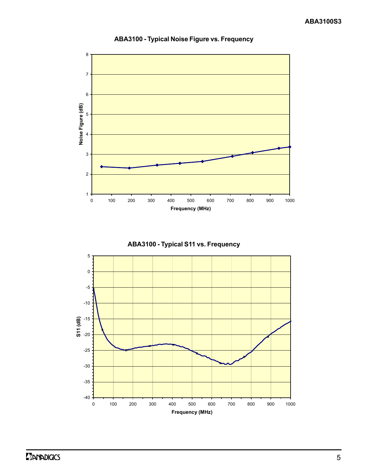

### **ABA3100 - Typical Noise Figure vs. Frequency**



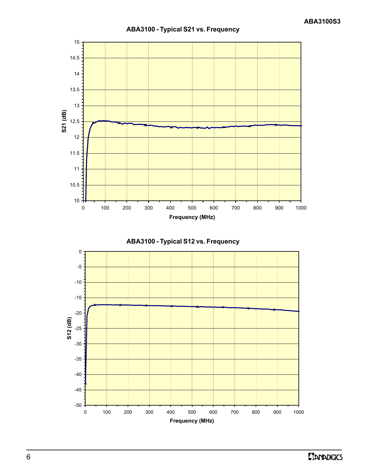

### **ABA3100 - Typical S21 vs. Frequency**



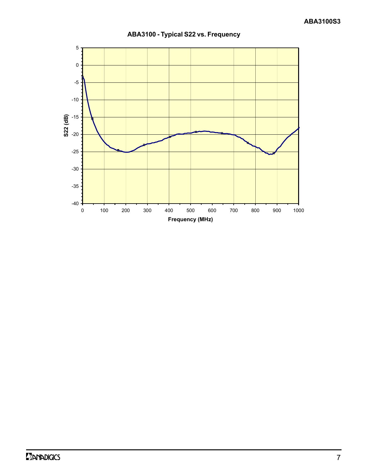

**ABA3100 - Typical S22 vs. Frequency**